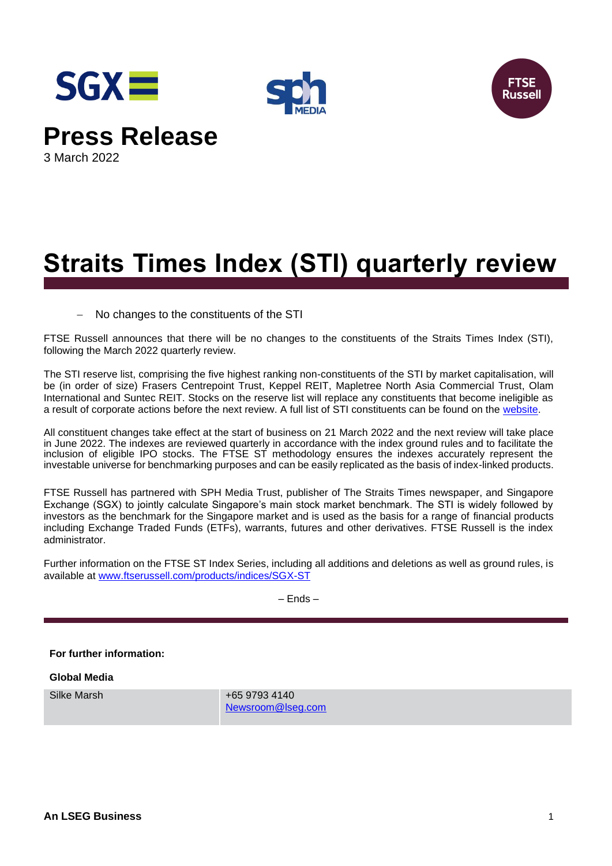





**Press Release**

3 March 2022

# **Straits Times Index (STI) quarterly review**

− No changes to the constituents of the STI

FTSE Russell announces that there will be no changes to the constituents of the Straits Times Index (STI), following the March 2022 quarterly review.

The STI reserve list, comprising the five highest ranking non-constituents of the STI by market capitalisation, will be (in order of size) Frasers Centrepoint Trust, Keppel REIT, Mapletree North Asia Commercial Trust, Olam International and Suntec REIT. Stocks on the reserve list will replace any constituents that become ineligible as a result of corporate actions before the next review. A full list of STI constituents can be found on the [website.](https://www.ftserussell.com/products/indices/sgx-st)

All constituent changes take effect at the start of business on 21 March 2022 and the next review will take place in June 2022. The indexes are reviewed quarterly in accordance with the index ground rules and to facilitate the inclusion of eligible IPO stocks. The FTSE ST methodology ensures the indexes accurately represent the investable universe for benchmarking purposes and can be easily replicated as the basis of index-linked products.

FTSE Russell has partnered with SPH Media Trust, publisher of The Straits Times newspaper, and Singapore Exchange (SGX) to jointly calculate Singapore's main stock market benchmark. The STI is widely followed by investors as the benchmark for the Singapore market and is used as the basis for a range of financial products including Exchange Traded Funds (ETFs), warrants, futures and other derivatives. FTSE Russell is the index administrator.

Further information on the FTSE ST Index Series, including all additions and deletions as well as ground rules, is available at [www.ftserussell.com/products/indices/SGX-ST](http://www.ftserussell.com/products/indices/SGX-ST)

– Ends –

**For further information:**

**Global Media**

Silke Marsh +65 9793 4140 [Newsroom@lseg.com](mailto:Newsroom@lseg.com)